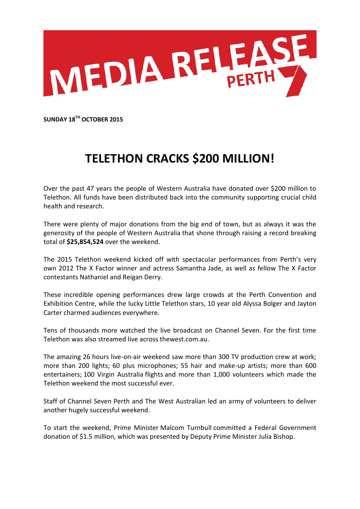

**SUNDAY 18TH OCTOBER 2015**

## **TELETHON CRACKS \$200 MILLION!**

Over the past 47 years the people of Western Australia have donated over \$200 million to Telethon. All funds have been distributed back into the community supporting crucial child health and research.

There were plenty of major donations from the big end of town, but as always it was the generosity of the people of Western Australia that shone through raising a record breaking total of **\$25,854,524** over the weekend.

The 2015 Telethon weekend kicked off with spectacular performances from Perth's very own 2012 The X Factor winner and actress Samantha Jade, as well as fellow The X Factor contestants Nathaniel and Reigan Derry.

These incredible opening performances drew large crowds at the Perth Convention and Exhibition Centre, while the lucky Little Telethon stars, 10 year old Alyssa Bolger and Jayton Carter charmed audiences everywhere.

Tens of thousands more watched the live broadcast on Channel Seven. For the first time Telethon was also streamed live across thewest.com.au.

The amazing 26 hours live-on-air weekend saw more than 300 TV production crew at work; more than 200 lights; 60 plus microphones; 55 hair and make-up artists; more than 600 entertainers; 100 Virgin Australia flights and more than 1,000 volunteers which made the Telethon weekend the most successful ever.

Staff of Channel Seven Perth and The West Australian led an army of volunteers to deliver another hugely successful weekend.

To start the weekend, Prime Minister Malcom Turnbull committed a Federal Government donation of \$1.5 million, which was presented by Deputy Prime Minister Julia Bishop.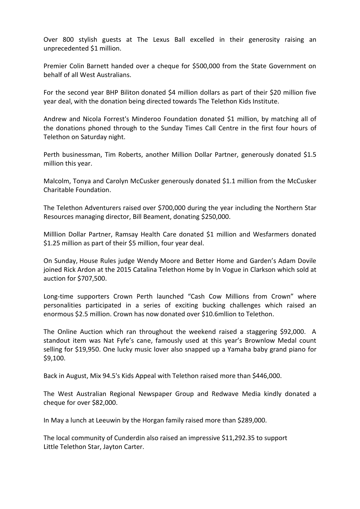Over 800 stylish guests at The Lexus Ball excelled in their generosity raising an unprecedented \$1 million.

Premier Colin Barnett handed over a cheque for \$500,000 from the State Government on behalf of all West Australians.

For the second year BHP Biliton donated \$4 million dollars as part of their \$20 million five year deal, with the donation being directed towards The Telethon Kids Institute.

Andrew and Nicola Forrest's Minderoo Foundation donated \$1 million, by matching all of the donations phoned through to the Sunday Times Call Centre in the first four hours of Telethon on Saturday night.

Perth businessman, Tim Roberts, another Million Dollar Partner, generously donated \$1.5 million this year.

Malcolm, Tonya and Carolyn McCusker generously donated \$1.1 million from the McCusker Charitable Foundation.

The Telethon Adventurers raised over \$700,000 during the year including the Northern Star Resources managing director, Bill Beament, donating \$250,000.

Milllion Dollar Partner, Ramsay Health Care donated \$1 million and Wesfarmers donated \$1.25 million as part of their \$5 million, four year deal.

On Sunday, House Rules judge Wendy Moore and Better Home and Garden's Adam Dovile joined Rick Ardon at the 2015 Catalina Telethon Home by In Vogue in Clarkson which sold at auction for \$707,500.

Long-time supporters Crown Perth launched "Cash Cow Millions from Crown" where personalities participated in a series of exciting bucking challenges which raised an enormous \$2.5 million. Crown has now donated over \$10.6mllion to Telethon.

The Online Auction which ran throughout the weekend raised a staggering \$92,000. A standout item was Nat Fyfe's cane, famously used at this year's Brownlow Medal count selling for \$19,950. One lucky music lover also snapped up a Yamaha baby grand piano for \$9,100.

Back in August, Mix 94.5's Kids Appeal with Telethon raised more than \$446,000.

The West Australian Regional Newspaper Group and Redwave Media kindly donated a cheque for over \$82,000.

In May a lunch at Leeuwin by the Horgan family raised more than \$289,000.

The local community of Cunderdin also raised an impressive \$11,292.35 to support Little Telethon Star, Jayton Carter.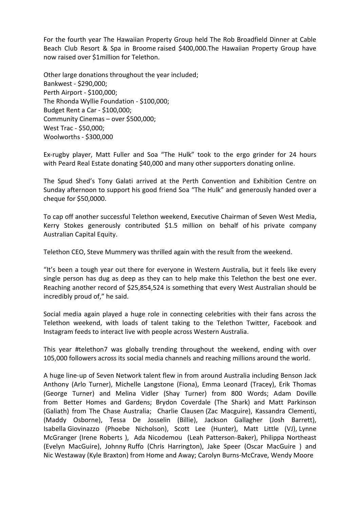For the fourth year The Hawaiian Property Group held The Rob Broadfield Dinner at Cable Beach Club Resort & Spa in Broome raised \$400,000.The Hawaiian Property Group have now raised over \$1million for Telethon.

Other large donations throughout the year included; Bankwest - \$290,000; Perth Airport - \$100,000; The Rhonda Wyllie Foundation - \$100,000; Budget Rent a Car - \$100,000; Community Cinemas – over \$500,000; West Trac - \$50,000; Woolworths - \$300,000

Ex-rugby player, Matt Fuller and Soa "The Hulk" took to the ergo grinder for 24 hours with Peard Real Estate donating \$40,000 and many other supporters donating online.

The Spud Shed's Tony Galati arrived at the Perth Convention and Exhibition Centre on Sunday afternoon to support his good friend Soa "The Hulk" and generously handed over a cheque for \$50,0000.

To cap off another successful Telethon weekend, Executive Chairman of Seven West Media, Kerry Stokes generously contributed \$1.5 million on behalf of his private company Australian Capital Equity.

Telethon CEO, Steve Mummery was thrilled again with the result from the weekend.

"It's been a tough year out there for everyone in Western Australia, but it feels like every single person has dug as deep as they can to help make this Telethon the best one ever. Reaching another record of \$25,854,524 is something that every West Australian should be incredibly proud of," he said.

Social media again played a huge role in connecting celebrities with their fans across the Telethon weekend, with loads of talent taking to the Telethon Twitter, Facebook and Instagram feeds to interact live with people across Western Australia.

This year #telethon7 was globally trending throughout the weekend, ending with over 105,000 followers across its social media channels and reaching millions around the world.

A huge line-up of Seven Network talent flew in from around Australia including Benson Jack Anthony (Arlo Turner), Michelle Langstone (Fiona), Emma Leonard (Tracey), Erik Thomas (George Turner) and Melina Vidler (Shay Turner) from 800 Words; Adam Doville from Better Homes and Gardens; Brydon Coverdale (The Shark) and Matt Parkinson (Galiath) from The Chase Australia; Charlie Clausen (Zac Macguire), Kassandra Clementi, (Maddy Osborne), Tessa De Josselin (Billie), Jackson Gallagher (Josh Barrett), Isabella Giovinazzo (Phoebe Nicholson), Scott Lee (Hunter), Matt Little (VJ), Lynne McGranger (Irene Roberts ), Ada Nicodemou (Leah Patterson-Baker), Philippa Northeast (Evelyn MacGuire), Johnny Ruffo (Chris Harrington), Jake Speer (Oscar MacGuire ) and Nic Westaway (Kyle Braxton) from Home and Away; Carolyn Burns-McCrave, Wendy Moore